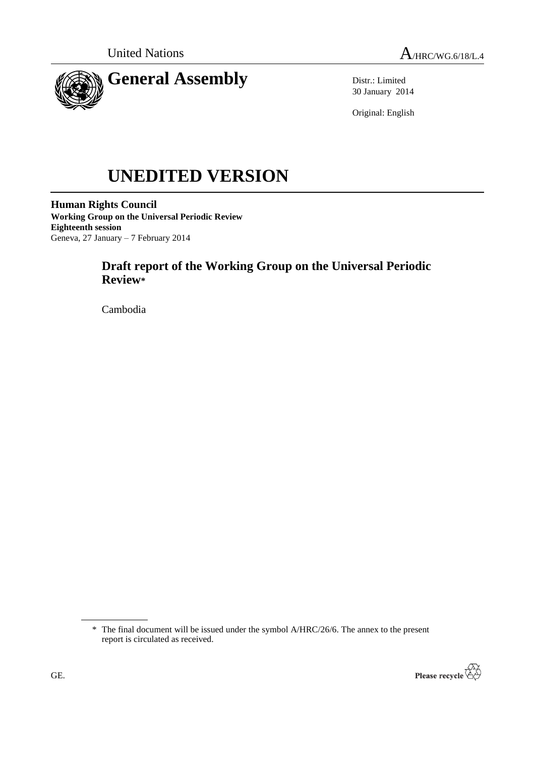

Distr.: Limited 30 January 2014

Original: English

# **UNEDITED VERSION**

**Human Rights Council Working Group on the Universal Periodic Review Eighteenth session** Geneva, 27 January – 7 February 2014

# **Draft report of the Working Group on the Universal Periodic Review\***

Cambodia

<sup>\*</sup> The final document will be issued under the symbol A/HRC/26/6. The annex to the present report is circulated as received.

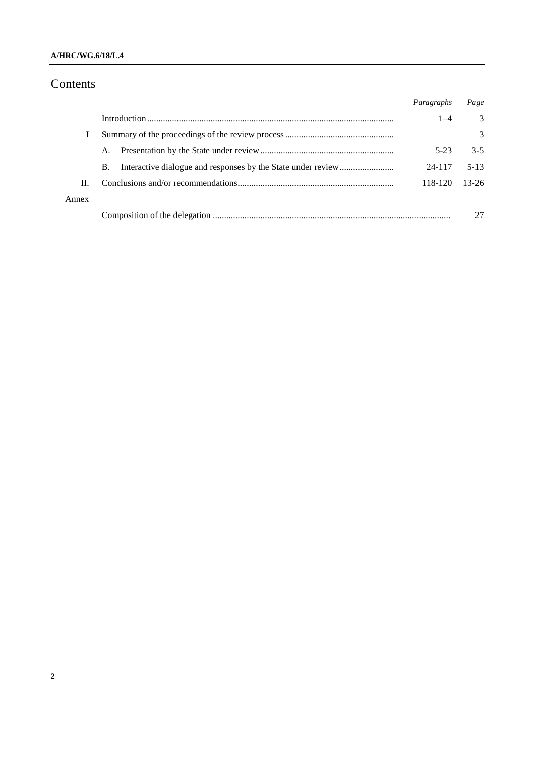### **A/HRC/WG.6/18/L.4**

# Contents

|       |    | Paragraphs | Page     |
|-------|----|------------|----------|
|       |    | $1 - 4$    | 3        |
|       |    |            | 3        |
|       | A. | $5-23$     | $3 - 5$  |
|       | В. | 24-117     | $5 - 13$ |
| Н.    |    | 118-120    | $13-26$  |
| Annex |    |            |          |
|       |    |            |          |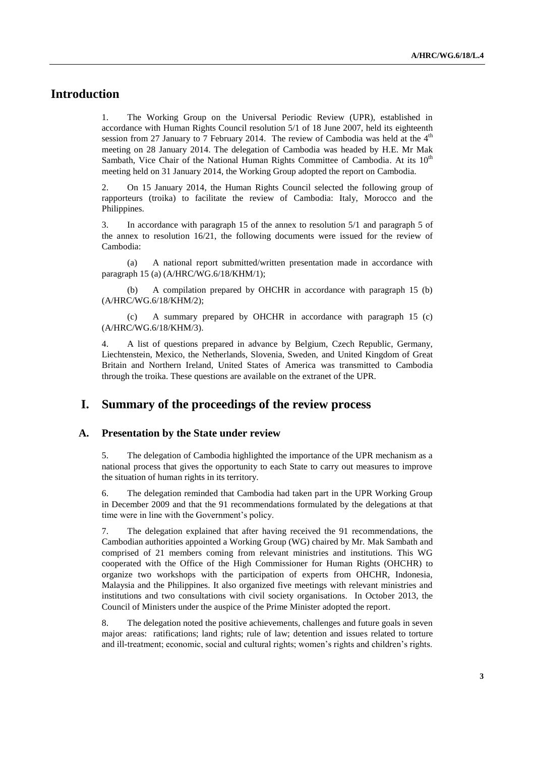## **Introduction**

1. The Working Group on the Universal Periodic Review (UPR), established in accordance with Human Rights Council resolution 5/1 of 18 June 2007, held its eighteenth session from 27 January to 7 February 2014. The review of Cambodia was held at the  $4<sup>th</sup>$ meeting on 28 January 2014. The delegation of Cambodia was headed by H.E. Mr Mak Sambath, Vice Chair of the National Human Rights Committee of Cambodia. At its  $10<sup>th</sup>$ meeting held on 31 January 2014, the Working Group adopted the report on Cambodia.

2. On 15 January 2014, the Human Rights Council selected the following group of rapporteurs (troika) to facilitate the review of Cambodia: Italy, Morocco and the Philippines.

3. In accordance with paragraph 15 of the annex to resolution 5/1 and paragraph 5 of the annex to resolution 16/21, the following documents were issued for the review of Cambodia:

(a) A national report submitted/written presentation made in accordance with paragraph 15 (a) (A/HRC/WG.6/18/KHM/1);

(b) A compilation prepared by OHCHR in accordance with paragraph 15 (b) (A/HRC/WG.6/18/KHM/2);

(c) A summary prepared by OHCHR in accordance with paragraph 15 (c) (A/HRC/WG.6/18/KHM/3).

4. A list of questions prepared in advance by Belgium, Czech Republic, Germany, Liechtenstein, Mexico, the Netherlands, Slovenia, Sweden, and United Kingdom of Great Britain and Northern Ireland, United States of America was transmitted to Cambodia through the troika. These questions are available on the extranet of the UPR.

## **I. Summary of the proceedings of the review process**

#### **A. Presentation by the State under review**

5. The delegation of Cambodia highlighted the importance of the UPR mechanism as a national process that gives the opportunity to each State to carry out measures to improve the situation of human rights in its territory.

6. The delegation reminded that Cambodia had taken part in the UPR Working Group in December 2009 and that the 91 recommendations formulated by the delegations at that time were in line with the Government's policy.

7. The delegation explained that after having received the 91 recommendations, the Cambodian authorities appointed a Working Group (WG) chaired by Mr. Mak Sambath and comprised of 21 members coming from relevant ministries and institutions. This WG cooperated with the Office of the High Commissioner for Human Rights (OHCHR) to organize two workshops with the participation of experts from OHCHR, Indonesia, Malaysia and the Philippines. It also organized five meetings with relevant ministries and institutions and two consultations with civil society organisations. In October 2013, the Council of Ministers under the auspice of the Prime Minister adopted the report.

8. The delegation noted the positive achievements, challenges and future goals in seven major areas: ratifications; land rights; rule of law; detention and issues related to torture and ill-treatment; economic, social and cultural rights; women's rights and children's rights.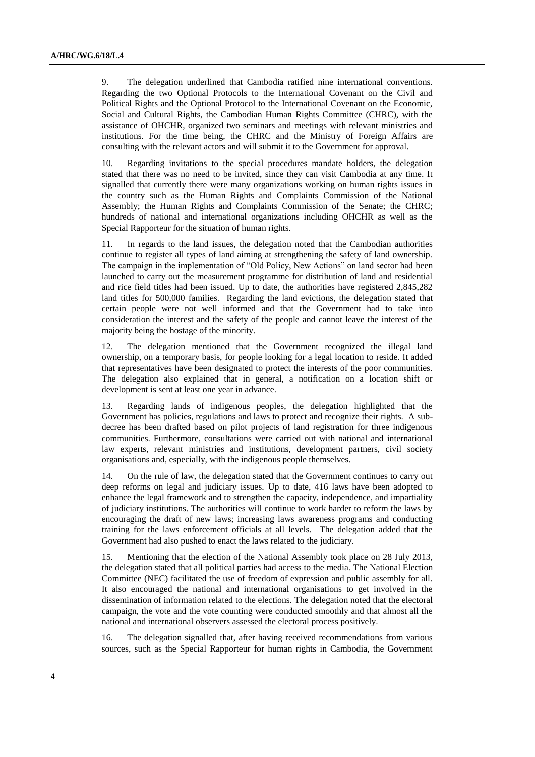9. The delegation underlined that Cambodia ratified nine international conventions. Regarding the two Optional Protocols to the International Covenant on the Civil and Political Rights and the Optional Protocol to the International Covenant on the Economic, Social and Cultural Rights, the Cambodian Human Rights Committee (CHRC), with the assistance of OHCHR, organized two seminars and meetings with relevant ministries and institutions. For the time being, the CHRC and the Ministry of Foreign Affairs are consulting with the relevant actors and will submit it to the Government for approval.

10. Regarding invitations to the special procedures mandate holders, the delegation stated that there was no need to be invited, since they can visit Cambodia at any time. It signalled that currently there were many organizations working on human rights issues in the country such as the Human Rights and Complaints Commission of the National Assembly; the Human Rights and Complaints Commission of the Senate; the CHRC; hundreds of national and international organizations including OHCHR as well as the Special Rapporteur for the situation of human rights.

11. In regards to the land issues, the delegation noted that the Cambodian authorities continue to register all types of land aiming at strengthening the safety of land ownership. The campaign in the implementation of "Old Policy, New Actions" on land sector had been launched to carry out the measurement programme for distribution of land and residential and rice field titles had been issued. Up to date, the authorities have registered 2,845,282 land titles for 500,000 families. Regarding the land evictions, the delegation stated that certain people were not well informed and that the Government had to take into consideration the interest and the safety of the people and cannot leave the interest of the majority being the hostage of the minority.

12. The delegation mentioned that the Government recognized the illegal land ownership, on a temporary basis, for people looking for a legal location to reside. It added that representatives have been designated to protect the interests of the poor communities. The delegation also explained that in general, a notification on a location shift or development is sent at least one year in advance.

13. Regarding lands of indigenous peoples, the delegation highlighted that the Government has policies, regulations and laws to protect and recognize their rights. A subdecree has been drafted based on pilot projects of land registration for three indigenous communities. Furthermore, consultations were carried out with national and international law experts, relevant ministries and institutions, development partners, civil society organisations and, especially, with the indigenous people themselves.

14. On the rule of law, the delegation stated that the Government continues to carry out deep reforms on legal and judiciary issues. Up to date, 416 laws have been adopted to enhance the legal framework and to strengthen the capacity, independence, and impartiality of judiciary institutions. The authorities will continue to work harder to reform the laws by encouraging the draft of new laws; increasing laws awareness programs and conducting training for the laws enforcement officials at all levels. The delegation added that the Government had also pushed to enact the laws related to the judiciary.

15. Mentioning that the election of the National Assembly took place on 28 July 2013, the delegation stated that all political parties had access to the media. The National Election Committee (NEC) facilitated the use of freedom of expression and public assembly for all. It also encouraged the national and international organisations to get involved in the dissemination of information related to the elections. The delegation noted that the electoral campaign, the vote and the vote counting were conducted smoothly and that almost all the national and international observers assessed the electoral process positively.

16. The delegation signalled that, after having received recommendations from various sources, such as the Special Rapporteur for human rights in Cambodia, the Government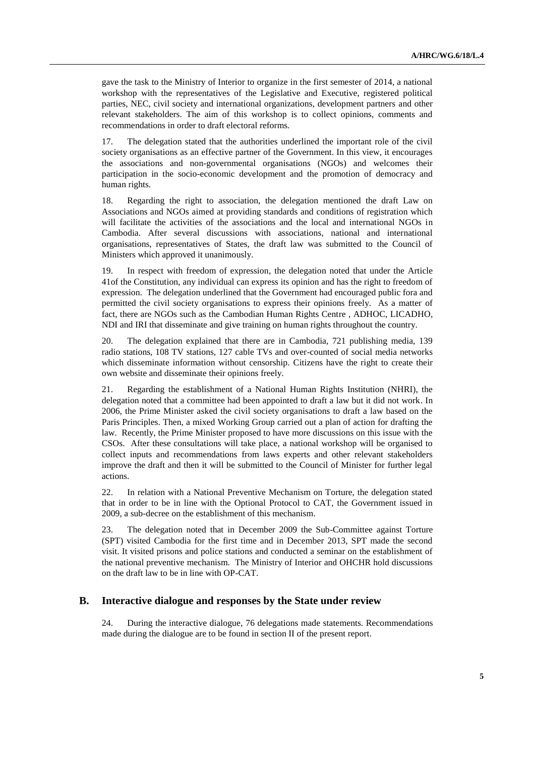gave the task to the Ministry of Interior to organize in the first semester of 2014, a national workshop with the representatives of the Legislative and Executive, registered political parties, NEC, civil society and international organizations, development partners and other relevant stakeholders. The aim of this workshop is to collect opinions, comments and recommendations in order to draft electoral reforms.

17. The delegation stated that the authorities underlined the important role of the civil society organisations as an effective partner of the Government. In this view, it encourages the associations and non-governmental organisations (NGOs) and welcomes their participation in the socio-economic development and the promotion of democracy and human rights.

18. Regarding the right to association, the delegation mentioned the draft Law on Associations and NGOs aimed at providing standards and conditions of registration which will facilitate the activities of the associations and the local and international NGOs in Cambodia. After several discussions with associations, national and international organisations, representatives of States, the draft law was submitted to the Council of Ministers which approved it unanimously.

19. In respect with freedom of expression, the delegation noted that under the Article 41of the Constitution, any individual can express its opinion and has the right to freedom of expression. The delegation underlined that the Government had encouraged public fora and permitted the civil society organisations to express their opinions freely. As a matter of fact, there are NGOs such as the Cambodian Human Rights Centre , ADHOC, LICADHO, NDI and IRI that disseminate and give training on human rights throughout the country.

20. The delegation explained that there are in Cambodia, 721 publishing media, 139 radio stations, 108 TV stations, 127 cable TVs and over-counted of social media networks which disseminate information without censorship. Citizens have the right to create their own website and disseminate their opinions freely.

21. Regarding the establishment of a National Human Rights Institution (NHRI), the delegation noted that a committee had been appointed to draft a law but it did not work. In 2006, the Prime Minister asked the civil society organisations to draft a law based on the Paris Principles. Then, a mixed Working Group carried out a plan of action for drafting the law. Recently, the Prime Minister proposed to have more discussions on this issue with the CSOs. After these consultations will take place, a national workshop will be organised to collect inputs and recommendations from laws experts and other relevant stakeholders improve the draft and then it will be submitted to the Council of Minister for further legal actions.

22. In relation with a National Preventive Mechanism on Torture, the delegation stated that in order to be in line with the Optional Protocol to CAT, the Government issued in 2009, a sub-decree on the establishment of this mechanism.

23. The delegation noted that in December 2009 the Sub-Committee against Torture (SPT) visited Cambodia for the first time and in December 2013, SPT made the second visit. It visited prisons and police stations and conducted a seminar on the establishment of the national preventive mechanism. The Ministry of Interior and OHCHR hold discussions on the draft law to be in line with OP-CAT.

#### **B. Interactive dialogue and responses by the State under review**

24. During the interactive dialogue, 76 delegations made statements. Recommendations made during the dialogue are to be found in section II of the present report.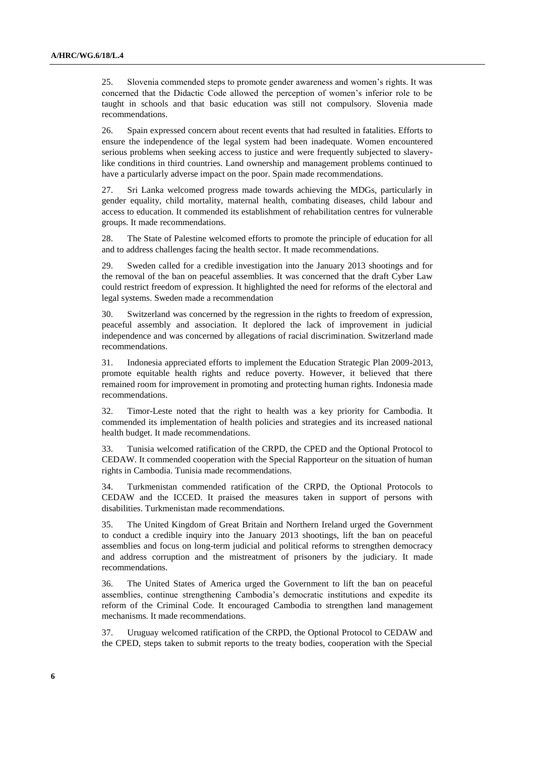25. Slovenia commended steps to promote gender awareness and women's rights. It was concerned that the Didactic Code allowed the perception of women's inferior role to be taught in schools and that basic education was still not compulsory. Slovenia made recommendations.

26. Spain expressed concern about recent events that had resulted in fatalities. Efforts to ensure the independence of the legal system had been inadequate. Women encountered serious problems when seeking access to justice and were frequently subjected to slaverylike conditions in third countries. Land ownership and management problems continued to have a particularly adverse impact on the poor. Spain made recommendations.

27. Sri Lanka welcomed progress made towards achieving the MDGs, particularly in gender equality, child mortality, maternal health, combating diseases, child labour and access to education. It commended its establishment of rehabilitation centres for vulnerable groups. It made recommendations.

28. The State of Palestine welcomed efforts to promote the principle of education for all and to address challenges facing the health sector. It made recommendations.

29. Sweden called for a credible investigation into the January 2013 shootings and for the removal of the ban on peaceful assemblies. It was concerned that the draft Cyber Law could restrict freedom of expression. It highlighted the need for reforms of the electoral and legal systems. Sweden made a recommendation

30. Switzerland was concerned by the regression in the rights to freedom of expression, peaceful assembly and association. It deplored the lack of improvement in judicial independence and was concerned by allegations of racial discrimination. Switzerland made recommendations.

31. Indonesia appreciated efforts to implement the Education Strategic Plan 2009-2013, promote equitable health rights and reduce poverty. However, it believed that there remained room for improvement in promoting and protecting human rights. Indonesia made recommendations.

32. Timor-Leste noted that the right to health was a key priority for Cambodia. It commended its implementation of health policies and strategies and its increased national health budget. It made recommendations.

33. Tunisia welcomed ratification of the CRPD, the CPED and the Optional Protocol to CEDAW. It commended cooperation with the Special Rapporteur on the situation of human rights in Cambodia. Tunisia made recommendations.

34. Turkmenistan commended ratification of the CRPD, the Optional Protocols to CEDAW and the ICCED. It praised the measures taken in support of persons with disabilities. Turkmenistan made recommendations.

35. The United Kingdom of Great Britain and Northern Ireland urged the Government to conduct a credible inquiry into the January 2013 shootings, lift the ban on peaceful assemblies and focus on long-term judicial and political reforms to strengthen democracy and address corruption and the mistreatment of prisoners by the judiciary. It made recommendations.

36. The United States of America urged the Government to lift the ban on peaceful assemblies, continue strengthening Cambodia's democratic institutions and expedite its reform of the Criminal Code. It encouraged Cambodia to strengthen land management mechanisms. It made recommendations.

37. Uruguay welcomed ratification of the CRPD, the Optional Protocol to CEDAW and the CPED, steps taken to submit reports to the treaty bodies, cooperation with the Special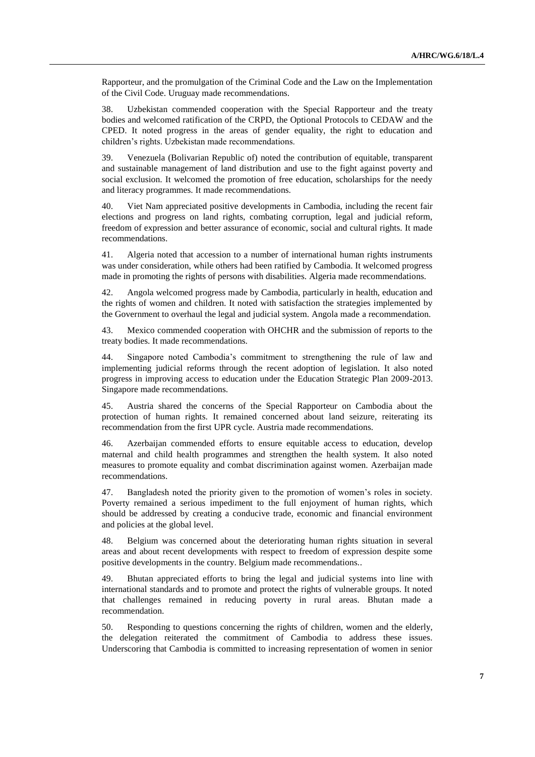Rapporteur, and the promulgation of the Criminal Code and the Law on the Implementation of the Civil Code. Uruguay made recommendations.

38. Uzbekistan commended cooperation with the Special Rapporteur and the treaty bodies and welcomed ratification of the CRPD, the Optional Protocols to CEDAW and the CPED. It noted progress in the areas of gender equality, the right to education and children's rights. Uzbekistan made recommendations.

39. Venezuela (Bolivarian Republic of) noted the contribution of equitable, transparent and sustainable management of land distribution and use to the fight against poverty and social exclusion. It welcomed the promotion of free education, scholarships for the needy and literacy programmes. It made recommendations.

40. Viet Nam appreciated positive developments in Cambodia, including the recent fair elections and progress on land rights, combating corruption, legal and judicial reform, freedom of expression and better assurance of economic, social and cultural rights. It made recommendations.

41. Algeria noted that accession to a number of international human rights instruments was under consideration, while others had been ratified by Cambodia. It welcomed progress made in promoting the rights of persons with disabilities. Algeria made recommendations.

42. Angola welcomed progress made by Cambodia, particularly in health, education and the rights of women and children. It noted with satisfaction the strategies implemented by the Government to overhaul the legal and judicial system. Angola made a recommendation.

43. Mexico commended cooperation with OHCHR and the submission of reports to the treaty bodies. It made recommendations.

44. Singapore noted Cambodia's commitment to strengthening the rule of law and implementing judicial reforms through the recent adoption of legislation. It also noted progress in improving access to education under the Education Strategic Plan 2009-2013. Singapore made recommendations.

45. Austria shared the concerns of the Special Rapporteur on Cambodia about the protection of human rights. It remained concerned about land seizure, reiterating its recommendation from the first UPR cycle. Austria made recommendations.

46. Azerbaijan commended efforts to ensure equitable access to education, develop maternal and child health programmes and strengthen the health system. It also noted measures to promote equality and combat discrimination against women. Azerbaijan made recommendations.

47. Bangladesh noted the priority given to the promotion of women's roles in society. Poverty remained a serious impediment to the full enjoyment of human rights, which should be addressed by creating a conducive trade, economic and financial environment and policies at the global level.

48. Belgium was concerned about the deteriorating human rights situation in several areas and about recent developments with respect to freedom of expression despite some positive developments in the country. Belgium made recommendations..

49. Bhutan appreciated efforts to bring the legal and judicial systems into line with international standards and to promote and protect the rights of vulnerable groups. It noted that challenges remained in reducing poverty in rural areas. Bhutan made a recommendation.

50. Responding to questions concerning the rights of children, women and the elderly, the delegation reiterated the commitment of Cambodia to address these issues. Underscoring that Cambodia is committed to increasing representation of women in senior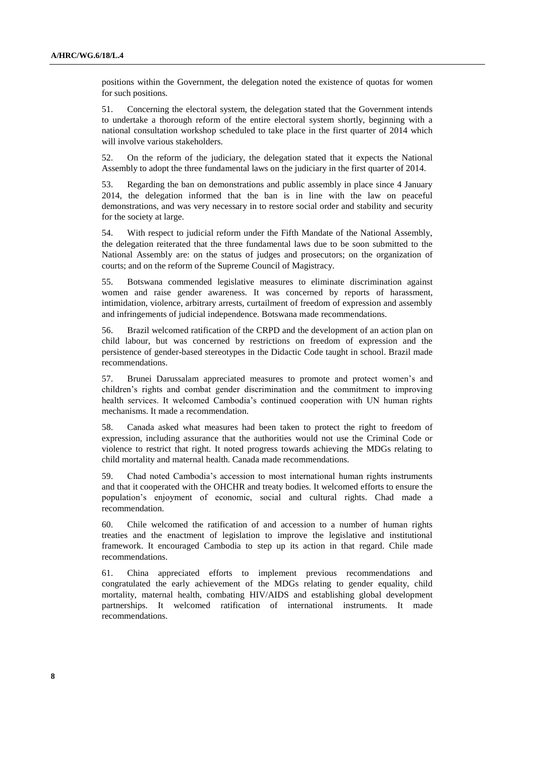positions within the Government, the delegation noted the existence of quotas for women for such positions.

51. Concerning the electoral system, the delegation stated that the Government intends to undertake a thorough reform of the entire electoral system shortly, beginning with a national consultation workshop scheduled to take place in the first quarter of 2014 which will involve various stakeholders.

52. On the reform of the judiciary, the delegation stated that it expects the National Assembly to adopt the three fundamental laws on the judiciary in the first quarter of 2014.

53. Regarding the ban on demonstrations and public assembly in place since 4 January 2014, the delegation informed that the ban is in line with the law on peaceful demonstrations, and was very necessary in to restore social order and stability and security for the society at large.

54. With respect to judicial reform under the Fifth Mandate of the National Assembly, the delegation reiterated that the three fundamental laws due to be soon submitted to the National Assembly are: on the status of judges and prosecutors; on the organization of courts; and on the reform of the Supreme Council of Magistracy.

55. Botswana commended legislative measures to eliminate discrimination against women and raise gender awareness. It was concerned by reports of harassment, intimidation, violence, arbitrary arrests, curtailment of freedom of expression and assembly and infringements of judicial independence. Botswana made recommendations.

56. Brazil welcomed ratification of the CRPD and the development of an action plan on child labour, but was concerned by restrictions on freedom of expression and the persistence of gender-based stereotypes in the Didactic Code taught in school. Brazil made recommendations.

57. Brunei Darussalam appreciated measures to promote and protect women's and children's rights and combat gender discrimination and the commitment to improving health services. It welcomed Cambodia's continued cooperation with UN human rights mechanisms. It made a recommendation.

58. Canada asked what measures had been taken to protect the right to freedom of expression, including assurance that the authorities would not use the Criminal Code or violence to restrict that right. It noted progress towards achieving the MDGs relating to child mortality and maternal health. Canada made recommendations.

59. Chad noted Cambodia's accession to most international human rights instruments and that it cooperated with the OHCHR and treaty bodies. It welcomed efforts to ensure the population's enjoyment of economic, social and cultural rights. Chad made a recommendation.

60. Chile welcomed the ratification of and accession to a number of human rights treaties and the enactment of legislation to improve the legislative and institutional framework. It encouraged Cambodia to step up its action in that regard. Chile made recommendations.

61. China appreciated efforts to implement previous recommendations and congratulated the early achievement of the MDGs relating to gender equality, child mortality, maternal health, combating HIV/AIDS and establishing global development partnerships. It welcomed ratification of international instruments. It made recommendations.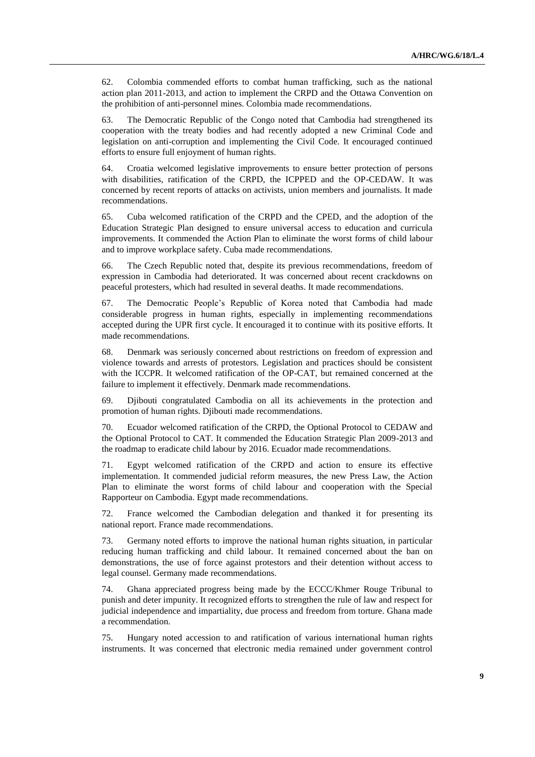62. Colombia commended efforts to combat human trafficking, such as the national action plan 2011-2013, and action to implement the CRPD and the Ottawa Convention on the prohibition of anti-personnel mines. Colombia made recommendations.

63. The Democratic Republic of the Congo noted that Cambodia had strengthened its cooperation with the treaty bodies and had recently adopted a new Criminal Code and legislation on anti-corruption and implementing the Civil Code. It encouraged continued efforts to ensure full enjoyment of human rights.

64. Croatia welcomed legislative improvements to ensure better protection of persons with disabilities, ratification of the CRPD, the ICPPED and the OP-CEDAW. It was concerned by recent reports of attacks on activists, union members and journalists. It made recommendations.

65. Cuba welcomed ratification of the CRPD and the CPED, and the adoption of the Education Strategic Plan designed to ensure universal access to education and curricula improvements. It commended the Action Plan to eliminate the worst forms of child labour and to improve workplace safety. Cuba made recommendations.

66. The Czech Republic noted that, despite its previous recommendations, freedom of expression in Cambodia had deteriorated. It was concerned about recent crackdowns on peaceful protesters, which had resulted in several deaths. It made recommendations.

67. The Democratic People's Republic of Korea noted that Cambodia had made considerable progress in human rights, especially in implementing recommendations accepted during the UPR first cycle. It encouraged it to continue with its positive efforts. It made recommendations.

68. Denmark was seriously concerned about restrictions on freedom of expression and violence towards and arrests of protestors. Legislation and practices should be consistent with the ICCPR. It welcomed ratification of the OP-CAT, but remained concerned at the failure to implement it effectively. Denmark made recommendations.

69. Djibouti congratulated Cambodia on all its achievements in the protection and promotion of human rights. Djibouti made recommendations.

70. Ecuador welcomed ratification of the CRPD, the Optional Protocol to CEDAW and the Optional Protocol to CAT. It commended the Education Strategic Plan 2009-2013 and the roadmap to eradicate child labour by 2016. Ecuador made recommendations.

71. Egypt welcomed ratification of the CRPD and action to ensure its effective implementation. It commended judicial reform measures, the new Press Law, the Action Plan to eliminate the worst forms of child labour and cooperation with the Special Rapporteur on Cambodia. Egypt made recommendations.

72. France welcomed the Cambodian delegation and thanked it for presenting its national report. France made recommendations.

73. Germany noted efforts to improve the national human rights situation, in particular reducing human trafficking and child labour. It remained concerned about the ban on demonstrations, the use of force against protestors and their detention without access to legal counsel. Germany made recommendations.

74. Ghana appreciated progress being made by the ECCC/Khmer Rouge Tribunal to punish and deter impunity. It recognized efforts to strengthen the rule of law and respect for judicial independence and impartiality, due process and freedom from torture. Ghana made a recommendation.

75. Hungary noted accession to and ratification of various international human rights instruments. It was concerned that electronic media remained under government control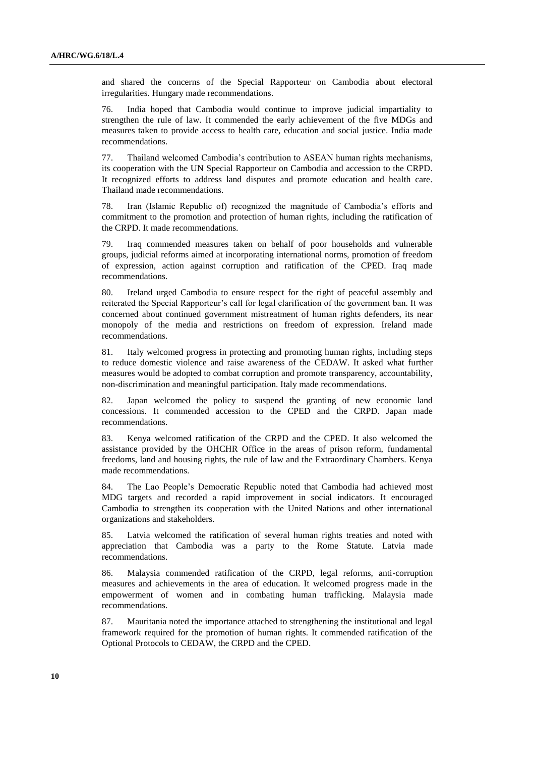and shared the concerns of the Special Rapporteur on Cambodia about electoral irregularities. Hungary made recommendations.

76. India hoped that Cambodia would continue to improve judicial impartiality to strengthen the rule of law. It commended the early achievement of the five MDGs and measures taken to provide access to health care, education and social justice. India made recommendations.

77. Thailand welcomed Cambodia's contribution to ASEAN human rights mechanisms, its cooperation with the UN Special Rapporteur on Cambodia and accession to the CRPD. It recognized efforts to address land disputes and promote education and health care. Thailand made recommendations.

78. Iran (Islamic Republic of) recognized the magnitude of Cambodia's efforts and commitment to the promotion and protection of human rights, including the ratification of the CRPD. It made recommendations.

79. Iraq commended measures taken on behalf of poor households and vulnerable groups, judicial reforms aimed at incorporating international norms, promotion of freedom of expression, action against corruption and ratification of the CPED. Iraq made recommendations.

80. Ireland urged Cambodia to ensure respect for the right of peaceful assembly and reiterated the Special Rapporteur's call for legal clarification of the government ban. It was concerned about continued government mistreatment of human rights defenders, its near monopoly of the media and restrictions on freedom of expression. Ireland made recommendations.

81. Italy welcomed progress in protecting and promoting human rights, including steps to reduce domestic violence and raise awareness of the CEDAW. It asked what further measures would be adopted to combat corruption and promote transparency, accountability, non-discrimination and meaningful participation. Italy made recommendations.

82. Japan welcomed the policy to suspend the granting of new economic land concessions. It commended accession to the CPED and the CRPD. Japan made recommendations.

83. Kenya welcomed ratification of the CRPD and the CPED. It also welcomed the assistance provided by the OHCHR Office in the areas of prison reform, fundamental freedoms, land and housing rights, the rule of law and the Extraordinary Chambers. Kenya made recommendations.

84. The Lao People's Democratic Republic noted that Cambodia had achieved most MDG targets and recorded a rapid improvement in social indicators. It encouraged Cambodia to strengthen its cooperation with the United Nations and other international organizations and stakeholders.

85. Latvia welcomed the ratification of several human rights treaties and noted with appreciation that Cambodia was a party to the Rome Statute. Latvia made recommendations.

86. Malaysia commended ratification of the CRPD, legal reforms, anti-corruption measures and achievements in the area of education. It welcomed progress made in the empowerment of women and in combating human trafficking. Malaysia made recommendations.

87. Mauritania noted the importance attached to strengthening the institutional and legal framework required for the promotion of human rights. It commended ratification of the Optional Protocols to CEDAW, the CRPD and the CPED.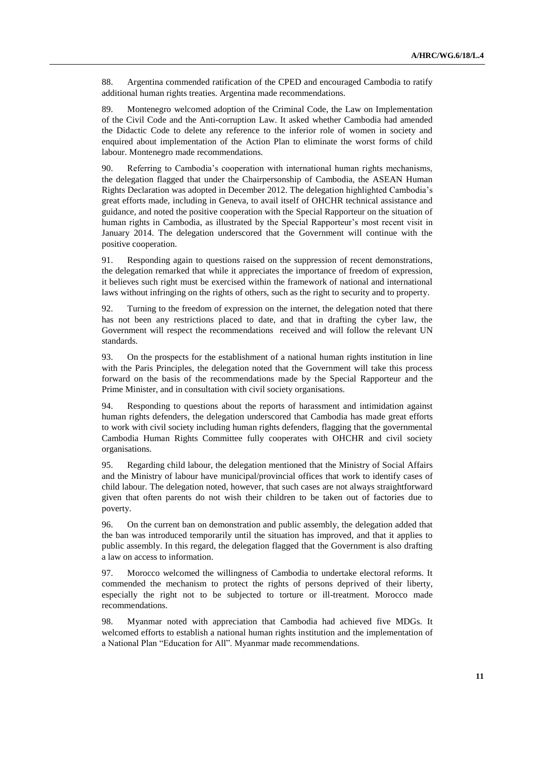88. Argentina commended ratification of the CPED and encouraged Cambodia to ratify additional human rights treaties. Argentina made recommendations.

89. Montenegro welcomed adoption of the Criminal Code, the Law on Implementation of the Civil Code and the Anti-corruption Law. It asked whether Cambodia had amended the Didactic Code to delete any reference to the inferior role of women in society and enquired about implementation of the Action Plan to eliminate the worst forms of child labour. Montenegro made recommendations.

90. Referring to Cambodia's cooperation with international human rights mechanisms, the delegation flagged that under the Chairpersonship of Cambodia, the ASEAN Human Rights Declaration was adopted in December 2012. The delegation highlighted Cambodia's great efforts made, including in Geneva, to avail itself of OHCHR technical assistance and guidance, and noted the positive cooperation with the Special Rapporteur on the situation of human rights in Cambodia, as illustrated by the Special Rapporteur's most recent visit in January 2014. The delegation underscored that the Government will continue with the positive cooperation.

91. Responding again to questions raised on the suppression of recent demonstrations, the delegation remarked that while it appreciates the importance of freedom of expression, it believes such right must be exercised within the framework of national and international laws without infringing on the rights of others, such as the right to security and to property.

92. Turning to the freedom of expression on the internet, the delegation noted that there has not been any restrictions placed to date, and that in drafting the cyber law, the Government will respect the recommendations received and will follow the relevant UN standards.

93. On the prospects for the establishment of a national human rights institution in line with the Paris Principles, the delegation noted that the Government will take this process forward on the basis of the recommendations made by the Special Rapporteur and the Prime Minister, and in consultation with civil society organisations.

94. Responding to questions about the reports of harassment and intimidation against human rights defenders, the delegation underscored that Cambodia has made great efforts to work with civil society including human rights defenders, flagging that the governmental Cambodia Human Rights Committee fully cooperates with OHCHR and civil society organisations.

95. Regarding child labour, the delegation mentioned that the Ministry of Social Affairs and the Ministry of labour have municipal/provincial offices that work to identify cases of child labour. The delegation noted, however, that such cases are not always straightforward given that often parents do not wish their children to be taken out of factories due to poverty.

96. On the current ban on demonstration and public assembly, the delegation added that the ban was introduced temporarily until the situation has improved, and that it applies to public assembly. In this regard, the delegation flagged that the Government is also drafting a law on access to information.

97. Morocco welcomed the willingness of Cambodia to undertake electoral reforms. It commended the mechanism to protect the rights of persons deprived of their liberty, especially the right not to be subjected to torture or ill-treatment. Morocco made recommendations.

98. Myanmar noted with appreciation that Cambodia had achieved five MDGs. It welcomed efforts to establish a national human rights institution and the implementation of a National Plan "Education for All". Myanmar made recommendations.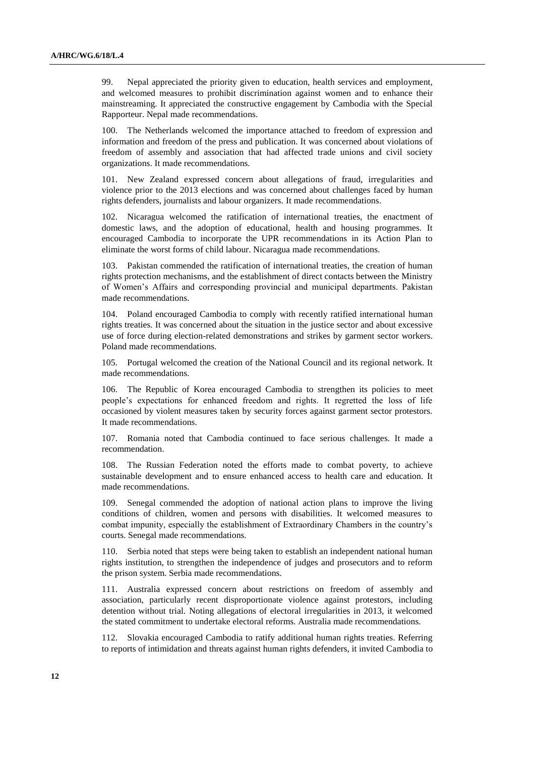99. Nepal appreciated the priority given to education, health services and employment, and welcomed measures to prohibit discrimination against women and to enhance their mainstreaming. It appreciated the constructive engagement by Cambodia with the Special Rapporteur. Nepal made recommendations.

100. The Netherlands welcomed the importance attached to freedom of expression and information and freedom of the press and publication. It was concerned about violations of freedom of assembly and association that had affected trade unions and civil society organizations. It made recommendations.

101. New Zealand expressed concern about allegations of fraud, irregularities and violence prior to the 2013 elections and was concerned about challenges faced by human rights defenders, journalists and labour organizers. It made recommendations.

102. Nicaragua welcomed the ratification of international treaties, the enactment of domestic laws, and the adoption of educational, health and housing programmes. It encouraged Cambodia to incorporate the UPR recommendations in its Action Plan to eliminate the worst forms of child labour. Nicaragua made recommendations.

103. Pakistan commended the ratification of international treaties, the creation of human rights protection mechanisms, and the establishment of direct contacts between the Ministry of Women's Affairs and corresponding provincial and municipal departments. Pakistan made recommendations.

104. Poland encouraged Cambodia to comply with recently ratified international human rights treaties. It was concerned about the situation in the justice sector and about excessive use of force during election-related demonstrations and strikes by garment sector workers. Poland made recommendations.

105. Portugal welcomed the creation of the National Council and its regional network. It made recommendations.

106. The Republic of Korea encouraged Cambodia to strengthen its policies to meet people's expectations for enhanced freedom and rights. It regretted the loss of life occasioned by violent measures taken by security forces against garment sector protestors. It made recommendations.

107. Romania noted that Cambodia continued to face serious challenges. It made a recommendation.

108. The Russian Federation noted the efforts made to combat poverty, to achieve sustainable development and to ensure enhanced access to health care and education. It made recommendations.

109. Senegal commended the adoption of national action plans to improve the living conditions of children, women and persons with disabilities. It welcomed measures to combat impunity, especially the establishment of Extraordinary Chambers in the country's courts. Senegal made recommendations.

110. Serbia noted that steps were being taken to establish an independent national human rights institution, to strengthen the independence of judges and prosecutors and to reform the prison system. Serbia made recommendations.

111. Australia expressed concern about restrictions on freedom of assembly and association, particularly recent disproportionate violence against protestors, including detention without trial. Noting allegations of electoral irregularities in 2013, it welcomed the stated commitment to undertake electoral reforms. Australia made recommendations.

112. Slovakia encouraged Cambodia to ratify additional human rights treaties. Referring to reports of intimidation and threats against human rights defenders, it invited Cambodia to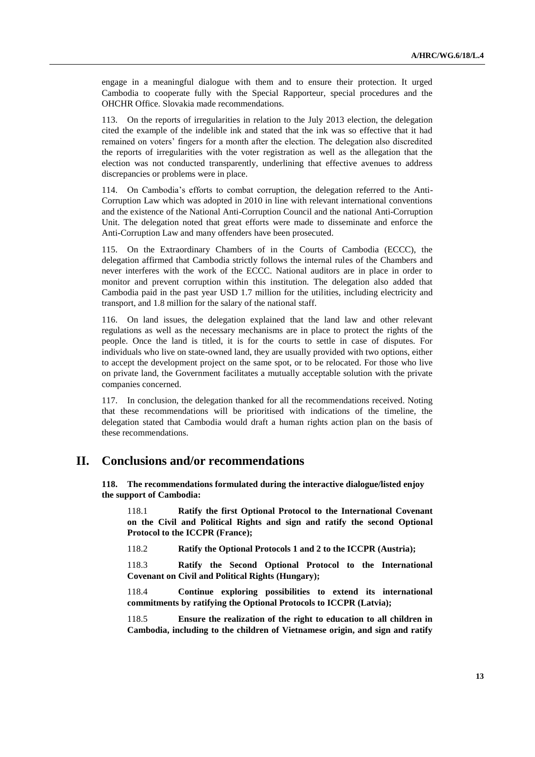engage in a meaningful dialogue with them and to ensure their protection. It urged Cambodia to cooperate fully with the Special Rapporteur, special procedures and the OHCHR Office. Slovakia made recommendations.

113. On the reports of irregularities in relation to the July 2013 election, the delegation cited the example of the indelible ink and stated that the ink was so effective that it had remained on voters' fingers for a month after the election. The delegation also discredited the reports of irregularities with the voter registration as well as the allegation that the election was not conducted transparently, underlining that effective avenues to address discrepancies or problems were in place.

114. On Cambodia's efforts to combat corruption, the delegation referred to the Anti-Corruption Law which was adopted in 2010 in line with relevant international conventions and the existence of the National Anti-Corruption Council and the national Anti-Corruption Unit. The delegation noted that great efforts were made to disseminate and enforce the Anti-Corruption Law and many offenders have been prosecuted.

115. On the Extraordinary Chambers of in the Courts of Cambodia (ECCC), the delegation affirmed that Cambodia strictly follows the internal rules of the Chambers and never interferes with the work of the ECCC. National auditors are in place in order to monitor and prevent corruption within this institution. The delegation also added that Cambodia paid in the past year USD 1.7 million for the utilities, including electricity and transport, and 1.8 million for the salary of the national staff.

116. On land issues, the delegation explained that the land law and other relevant regulations as well as the necessary mechanisms are in place to protect the rights of the people. Once the land is titled, it is for the courts to settle in case of disputes. For individuals who live on state-owned land, they are usually provided with two options, either to accept the development project on the same spot, or to be relocated. For those who live on private land, the Government facilitates a mutually acceptable solution with the private companies concerned.

117. In conclusion, the delegation thanked for all the recommendations received. Noting that these recommendations will be prioritised with indications of the timeline, the delegation stated that Cambodia would draft a human rights action plan on the basis of these recommendations.

## **II. Conclusions and/or recommendations**

**118. The recommendations formulated during the interactive dialogue/listed enjoy the support of Cambodia:**

118.1 **Ratify the first Optional Protocol to the International Covenant on the Civil and Political Rights and sign and ratify the second Optional Protocol to the ICCPR (France);**

118.2 **Ratify the Optional Protocols 1 and 2 to the ICCPR (Austria);**

118.3 **Ratify the Second Optional Protocol to the International Covenant on Civil and Political Rights (Hungary);**

118.4 **Continue exploring possibilities to extend its international commitments by ratifying the Optional Protocols to ICCPR (Latvia);**

118.5 **Ensure the realization of the right to education to all children in Cambodia, including to the children of Vietnamese origin, and sign and ratify**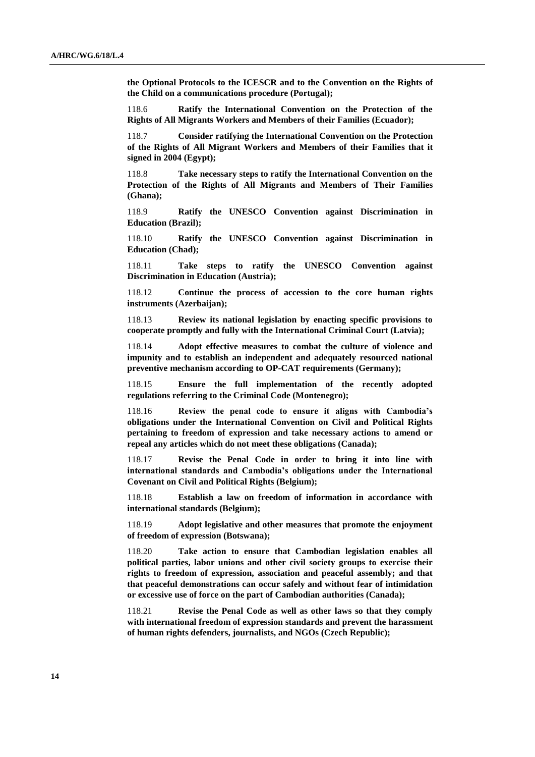**the Optional Protocols to the ICESCR and to the Convention on the Rights of the Child on a communications procedure (Portugal);**

118.6 **Ratify the International Convention on the Protection of the Rights of All Migrants Workers and Members of their Families (Ecuador);**

118.7 **Consider ratifying the International Convention on the Protection of the Rights of All Migrant Workers and Members of their Families that it signed in 2004 (Egypt);**

118.8 **Take necessary steps to ratify the International Convention on the Protection of the Rights of All Migrants and Members of Their Families (Ghana);**

118.9 **Ratify the UNESCO Convention against Discrimination in Education (Brazil);**

118.10 **Ratify the UNESCO Convention against Discrimination in Education (Chad);**

118.11 **Take steps to ratify the UNESCO Convention against Discrimination in Education (Austria);**

118.12 **Continue the process of accession to the core human rights instruments (Azerbaijan);**

118.13 **Review its national legislation by enacting specific provisions to cooperate promptly and fully with the International Criminal Court (Latvia);**

118.14 **Adopt effective measures to combat the culture of violence and impunity and to establish an independent and adequately resourced national preventive mechanism according to OP-CAT requirements (Germany);**

118.15 **Ensure the full implementation of the recently adopted regulations referring to the Criminal Code (Montenegro);**

118.16 **Review the penal code to ensure it aligns with Cambodia's obligations under the International Convention on Civil and Political Rights pertaining to freedom of expression and take necessary actions to amend or repeal any articles which do not meet these obligations (Canada);**

118.17 **Revise the Penal Code in order to bring it into line with international standards and Cambodia's obligations under the International Covenant on Civil and Political Rights (Belgium);**

118.18 **Establish a law on freedom of information in accordance with international standards (Belgium);**

118.19 **Adopt legislative and other measures that promote the enjoyment of freedom of expression (Botswana);**

118.20 **Take action to ensure that Cambodian legislation enables all political parties, labor unions and other civil society groups to exercise their rights to freedom of expression, association and peaceful assembly; and that that peaceful demonstrations can occur safely and without fear of intimidation or excessive use of force on the part of Cambodian authorities (Canada);**

118.21 **Revise the Penal Code as well as other laws so that they comply with international freedom of expression standards and prevent the harassment of human rights defenders, journalists, and NGOs (Czech Republic);**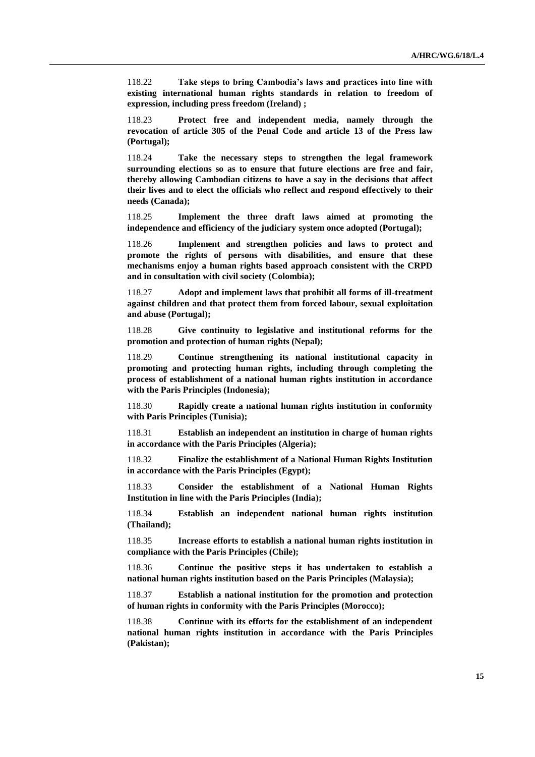118.22 **Take steps to bring Cambodia's laws and practices into line with existing international human rights standards in relation to freedom of expression, including press freedom (Ireland) ;**

118.23 **Protect free and independent media, namely through the revocation of article 305 of the Penal Code and article 13 of the Press law (Portugal);**

118.24 **Take the necessary steps to strengthen the legal framework surrounding elections so as to ensure that future elections are free and fair, thereby allowing Cambodian citizens to have a say in the decisions that affect their lives and to elect the officials who reflect and respond effectively to their needs (Canada);**

118.25 **Implement the three draft laws aimed at promoting the independence and efficiency of the judiciary system once adopted (Portugal);**

118.26 **Implement and strengthen policies and laws to protect and promote the rights of persons with disabilities, and ensure that these mechanisms enjoy a human rights based approach consistent with the CRPD and in consultation with civil society (Colombia);**

118.27 **Adopt and implement laws that prohibit all forms of ill-treatment against children and that protect them from forced labour, sexual exploitation and abuse (Portugal);**

118.28 **Give continuity to legislative and institutional reforms for the promotion and protection of human rights (Nepal);**

118.29 **Continue strengthening its national institutional capacity in promoting and protecting human rights, including through completing the process of establishment of a national human rights institution in accordance with the Paris Principles (Indonesia);**

118.30 **Rapidly create a national human rights institution in conformity with Paris Principles (Tunisia);**

118.31 **Establish an independent an institution in charge of human rights in accordance with the Paris Principles (Algeria);**

118.32 **Finalize the establishment of a National Human Rights Institution in accordance with the Paris Principles (Egypt);**

118.33 **Consider the establishment of a National Human Rights Institution in line with the Paris Principles (India);**

118.34 **Establish an independent national human rights institution (Thailand);**

118.35 **Increase efforts to establish a national human rights institution in compliance with the Paris Principles (Chile);**

118.36 **Continue the positive steps it has undertaken to establish a national human rights institution based on the Paris Principles (Malaysia);**

118.37 **Establish a national institution for the promotion and protection of human rights in conformity with the Paris Principles (Morocco);**

118.38 **Continue with its efforts for the establishment of an independent national human rights institution in accordance with the Paris Principles (Pakistan);**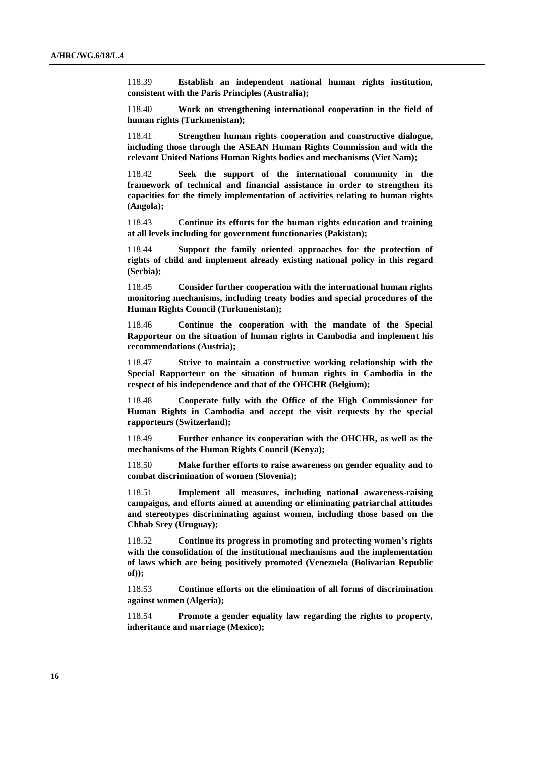118.39 **Establish an independent national human rights institution, consistent with the Paris Principles (Australia);**

118.40 **Work on strengthening international cooperation in the field of human rights (Turkmenistan);**

118.41 **Strengthen human rights cooperation and constructive dialogue, including those through the ASEAN Human Rights Commission and with the relevant United Nations Human Rights bodies and mechanisms (Viet Nam);**

118.42 **Seek the support of the international community in the framework of technical and financial assistance in order to strengthen its capacities for the timely implementation of activities relating to human rights (Angola);**

118.43 **Continue its efforts for the human rights education and training at all levels including for government functionaries (Pakistan);**

118.44 **Support the family oriented approaches for the protection of rights of child and implement already existing national policy in this regard (Serbia);**

118.45 **Consider further cooperation with the international human rights monitoring mechanisms, including treaty bodies and special procedures of the Human Rights Council (Turkmenistan);**

118.46 **Continue the cooperation with the mandate of the Special Rapporteur on the situation of human rights in Cambodia and implement his recommendations (Austria);**

118.47 **Strive to maintain a constructive working relationship with the Special Rapporteur on the situation of human rights in Cambodia in the respect of his independence and that of the OHCHR (Belgium);**

118.48 **Cooperate fully with the Office of the High Commissioner for Human Rights in Cambodia and accept the visit requests by the special rapporteurs (Switzerland);**

118.49 **Further enhance its cooperation with the OHCHR, as well as the mechanisms of the Human Rights Council (Kenya);**

118.50 **Make further efforts to raise awareness on gender equality and to combat discrimination of women (Slovenia);**

118.51 **Implement all measures, including national awareness-raising campaigns, and efforts aimed at amending or eliminating patriarchal attitudes and stereotypes discriminating against women, including those based on the Chbab Srey (Uruguay);**

118.52 **Continue its progress in promoting and protecting women's rights with the consolidation of the institutional mechanisms and the implementation of laws which are being positively promoted (Venezuela (Bolivarian Republic of));**

118.53 **Continue efforts on the elimination of all forms of discrimination against women (Algeria);**

118.54 **Promote a gender equality law regarding the rights to property, inheritance and marriage (Mexico);**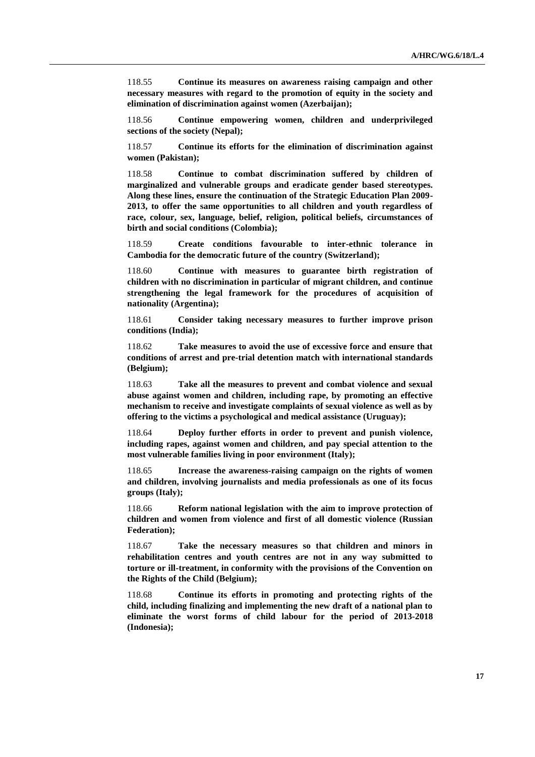118.55 **Continue its measures on awareness raising campaign and other necessary measures with regard to the promotion of equity in the society and elimination of discrimination against women (Azerbaijan);**

118.56 **Continue empowering women, children and underprivileged sections of the society (Nepal);**

118.57 **Continue its efforts for the elimination of discrimination against women (Pakistan);**

118.58 **Continue to combat discrimination suffered by children of marginalized and vulnerable groups and eradicate gender based stereotypes. Along these lines, ensure the continuation of the Strategic Education Plan 2009- 2013, to offer the same opportunities to all children and youth regardless of race, colour, sex, language, belief, religion, political beliefs, circumstances of birth and social conditions (Colombia);**

118.59 **Create conditions favourable to inter-ethnic tolerance in Cambodia for the democratic future of the country (Switzerland);**

118.60 **Continue with measures to guarantee birth registration of children with no discrimination in particular of migrant children, and continue strengthening the legal framework for the procedures of acquisition of nationality (Argentina);** 

118.61 **Consider taking necessary measures to further improve prison conditions (India);**

118.62 **Take measures to avoid the use of excessive force and ensure that conditions of arrest and pre-trial detention match with international standards (Belgium);**

118.63 **Take all the measures to prevent and combat violence and sexual abuse against women and children, including rape, by promoting an effective mechanism to receive and investigate complaints of sexual violence as well as by offering to the victims a psychological and medical assistance (Uruguay);** 

118.64 **Deploy further efforts in order to prevent and punish violence, including rapes, against women and children, and pay special attention to the most vulnerable families living in poor environment (Italy);**

118.65 **Increase the awareness-raising campaign on the rights of women and children, involving journalists and media professionals as one of its focus groups (Italy);**

118.66 **Reform national legislation with the aim to improve protection of children and women from violence and first of all domestic violence (Russian Federation);**

118.67 **Take the necessary measures so that children and minors in rehabilitation centres and youth centres are not in any way submitted to torture or ill-treatment, in conformity with the provisions of the Convention on the Rights of the Child (Belgium);**

118.68 **Continue its efforts in promoting and protecting rights of the child, including finalizing and implementing the new draft of a national plan to eliminate the worst forms of child labour for the period of 2013-2018 (Indonesia);**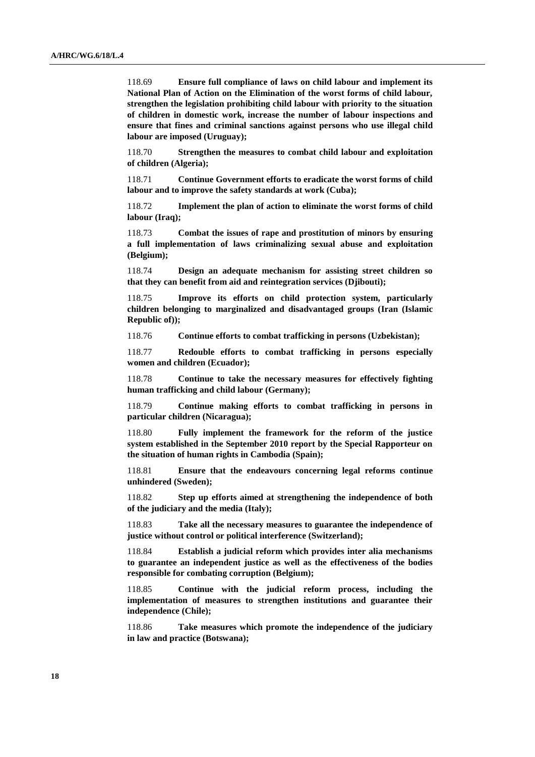118.69 **Ensure full compliance of laws on child labour and implement its National Plan of Action on the Elimination of the worst forms of child labour, strengthen the legislation prohibiting child labour with priority to the situation of children in domestic work, increase the number of labour inspections and ensure that fines and criminal sanctions against persons who use illegal child labour are imposed (Uruguay);** 

118.70 **Strengthen the measures to combat child labour and exploitation of children (Algeria);**

118.71 **Continue Government efforts to eradicate the worst forms of child labour and to improve the safety standards at work (Cuba);**

118.72 **Implement the plan of action to eliminate the worst forms of child labour (Iraq);**

118.73 **Combat the issues of rape and prostitution of minors by ensuring a full implementation of laws criminalizing sexual abuse and exploitation (Belgium);**

118.74 **Design an adequate mechanism for assisting street children so that they can benefit from aid and reintegration services (Djibouti);**

118.75 **Improve its efforts on child protection system, particularly children belonging to marginalized and disadvantaged groups (Iran (Islamic Republic of));**

118.76 **Continue efforts to combat trafficking in persons (Uzbekistan);**

118.77 **Redouble efforts to combat trafficking in persons especially women and children (Ecuador);**

118.78 **Continue to take the necessary measures for effectively fighting human trafficking and child labour (Germany);**

118.79 **Continue making efforts to combat trafficking in persons in particular children (Nicaragua);**

118.80 **Fully implement the framework for the reform of the justice system established in the September 2010 report by the Special Rapporteur on the situation of human rights in Cambodia (Spain);**

118.81 **Ensure that the endeavours concerning legal reforms continue unhindered (Sweden);**

118.82 **Step up efforts aimed at strengthening the independence of both of the judiciary and the media (Italy);**

118.83 **Take all the necessary measures to guarantee the independence of justice without control or political interference (Switzerland);**

118.84 **Establish a judicial reform which provides inter alia mechanisms to guarantee an independent justice as well as the effectiveness of the bodies responsible for combating corruption (Belgium);**

118.85 **Continue with the judicial reform process, including the implementation of measures to strengthen institutions and guarantee their independence (Chile);**

118.86 **Take measures which promote the independence of the judiciary in law and practice (Botswana);**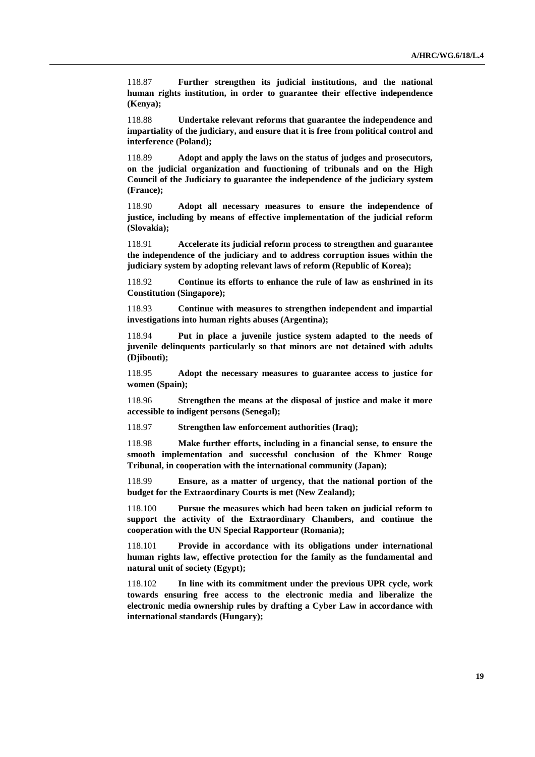118.87 **Further strengthen its judicial institutions, and the national human rights institution, in order to guarantee their effective independence (Kenya);**

118.88 **Undertake relevant reforms that guarantee the independence and impartiality of the judiciary, and ensure that it is free from political control and interference (Poland);**

118.89 **Adopt and apply the laws on the status of judges and prosecutors, on the judicial organization and functioning of tribunals and on the High Council of the Judiciary to guarantee the independence of the judiciary system (France);**

118.90 **Adopt all necessary measures to ensure the independence of justice, including by means of effective implementation of the judicial reform (Slovakia);**

118.91 **Accelerate its judicial reform process to strengthen and guarantee the independence of the judiciary and to address corruption issues within the judiciary system by adopting relevant laws of reform (Republic of Korea);**

118.92 **Continue its efforts to enhance the rule of law as enshrined in its Constitution (Singapore);**

118.93 **Continue with measures to strengthen independent and impartial investigations into human rights abuses (Argentina);**

118.94 **Put in place a juvenile justice system adapted to the needs of juvenile delinquents particularly so that minors are not detained with adults (Djibouti);**

118.95 **Adopt the necessary measures to guarantee access to justice for women (Spain);**

118.96 **Strengthen the means at the disposal of justice and make it more accessible to indigent persons (Senegal);**

118.97 **Strengthen law enforcement authorities (Iraq);**

118.98 **Make further efforts, including in a financial sense, to ensure the smooth implementation and successful conclusion of the Khmer Rouge Tribunal, in cooperation with the international community (Japan);**

118.99 **Ensure, as a matter of urgency, that the national portion of the budget for the Extraordinary Courts is met (New Zealand);**

118.100 **Pursue the measures which had been taken on judicial reform to support the activity of the Extraordinary Chambers, and continue the cooperation with the UN Special Rapporteur (Romania);**

118.101 **Provide in accordance with its obligations under international human rights law, effective protection for the family as the fundamental and natural unit of society (Egypt);**

118.102 **In line with its commitment under the previous UPR cycle, work towards ensuring free access to the electronic media and liberalize the electronic media ownership rules by drafting a Cyber Law in accordance with international standards (Hungary);**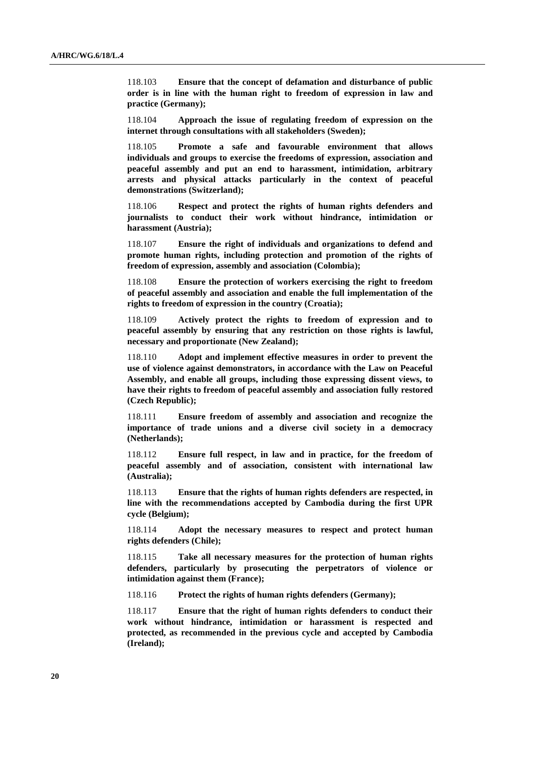118.103 **Ensure that the concept of defamation and disturbance of public order is in line with the human right to freedom of expression in law and practice (Germany);**

118.104 **Approach the issue of regulating freedom of expression on the internet through consultations with all stakeholders (Sweden);**

118.105 **Promote a safe and favourable environment that allows individuals and groups to exercise the freedoms of expression, association and peaceful assembly and put an end to harassment, intimidation, arbitrary arrests and physical attacks particularly in the context of peaceful demonstrations (Switzerland);**

118.106 **Respect and protect the rights of human rights defenders and journalists to conduct their work without hindrance, intimidation or harassment (Austria);**

118.107 **Ensure the right of individuals and organizations to defend and promote human rights, including protection and promotion of the rights of freedom of expression, assembly and association (Colombia);**

118.108 **Ensure the protection of workers exercising the right to freedom of peaceful assembly and association and enable the full implementation of the rights to freedom of expression in the country (Croatia);**

118.109 **Actively protect the rights to freedom of expression and to peaceful assembly by ensuring that any restriction on those rights is lawful, necessary and proportionate (New Zealand);**

118.110 **Adopt and implement effective measures in order to prevent the use of violence against demonstrators, in accordance with the Law on Peaceful Assembly, and enable all groups, including those expressing dissent views, to have their rights to freedom of peaceful assembly and association fully restored (Czech Republic);**

118.111 **Ensure freedom of assembly and association and recognize the importance of trade unions and a diverse civil society in a democracy (Netherlands);**

118.112 **Ensure full respect, in law and in practice, for the freedom of peaceful assembly and of association, consistent with international law (Australia);**

118.113 **Ensure that the rights of human rights defenders are respected, in line with the recommendations accepted by Cambodia during the first UPR cycle (Belgium);**

118.114 **Adopt the necessary measures to respect and protect human rights defenders (Chile);**

118.115 **Take all necessary measures for the protection of human rights defenders, particularly by prosecuting the perpetrators of violence or intimidation against them (France);**

118.116 **Protect the rights of human rights defenders (Germany);**

118.117 **Ensure that the right of human rights defenders to conduct their work without hindrance, intimidation or harassment is respected and protected, as recommended in the previous cycle and accepted by Cambodia (Ireland);**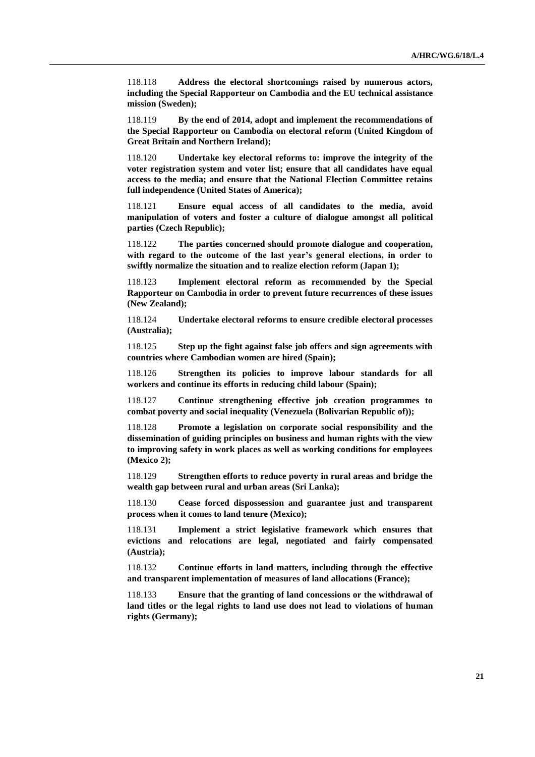118.118 **Address the electoral shortcomings raised by numerous actors, including the Special Rapporteur on Cambodia and the EU technical assistance mission (Sweden);**

118.119 **By the end of 2014, adopt and implement the recommendations of the Special Rapporteur on Cambodia on electoral reform (United Kingdom of Great Britain and Northern Ireland);**

118.120 **Undertake key electoral reforms to: improve the integrity of the voter registration system and voter list; ensure that all candidates have equal access to the media; and ensure that the National Election Committee retains full independence (United States of America);**

118.121 **Ensure equal access of all candidates to the media, avoid manipulation of voters and foster a culture of dialogue amongst all political parties (Czech Republic);**

118.122 **The parties concerned should promote dialogue and cooperation, with regard to the outcome of the last year's general elections, in order to swiftly normalize the situation and to realize election reform (Japan 1);** 

118.123 **Implement electoral reform as recommended by the Special Rapporteur on Cambodia in order to prevent future recurrences of these issues (New Zealand);**

118.124 **Undertake electoral reforms to ensure credible electoral processes (Australia);**

118.125 **Step up the fight against false job offers and sign agreements with countries where Cambodian women are hired (Spain);**

118.126 **Strengthen its policies to improve labour standards for all workers and continue its efforts in reducing child labour (Spain);**

118.127 **Continue strengthening effective job creation programmes to combat poverty and social inequality (Venezuela (Bolivarian Republic of));**

118.128 **Promote a legislation on corporate social responsibility and the dissemination of guiding principles on business and human rights with the view to improving safety in work places as well as working conditions for employees (Mexico 2);**

118.129 **Strengthen efforts to reduce poverty in rural areas and bridge the wealth gap between rural and urban areas (Sri Lanka);**

118.130 **Cease forced dispossession and guarantee just and transparent process when it comes to land tenure (Mexico);**

118.131 **Implement a strict legislative framework which ensures that evictions and relocations are legal, negotiated and fairly compensated (Austria);**

118.132 **Continue efforts in land matters, including through the effective and transparent implementation of measures of land allocations (France);**

118.133 **Ensure that the granting of land concessions or the withdrawal of land titles or the legal rights to land use does not lead to violations of human rights (Germany);**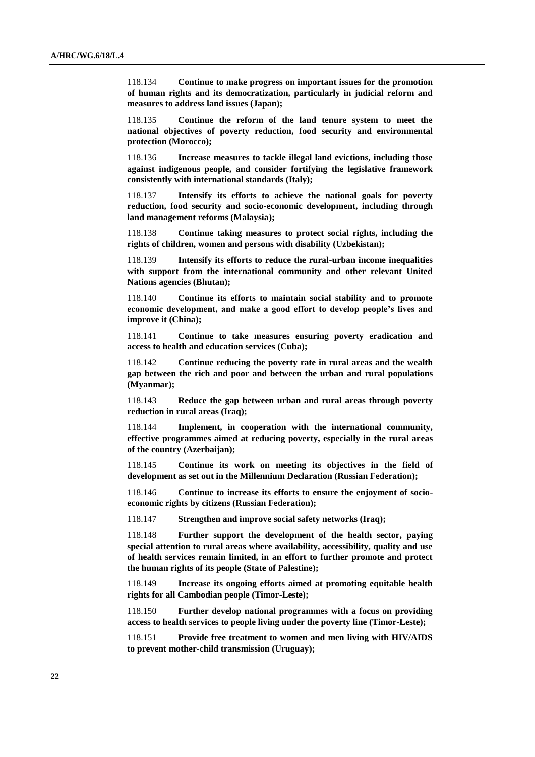118.134 **Continue to make progress on important issues for the promotion of human rights and its democratization, particularly in judicial reform and measures to address land issues (Japan);**

118.135 **Continue the reform of the land tenure system to meet the national objectives of poverty reduction, food security and environmental protection (Morocco);**

118.136 **Increase measures to tackle illegal land evictions, including those against indigenous people, and consider fortifying the legislative framework consistently with international standards (Italy);**

118.137 **Intensify its efforts to achieve the national goals for poverty reduction, food security and socio-economic development, including through land management reforms (Malaysia);**

118.138 **Continue taking measures to protect social rights, including the rights of children, women and persons with disability (Uzbekistan);**

118.139 **Intensify its efforts to reduce the rural-urban income inequalities with support from the international community and other relevant United Nations agencies (Bhutan);**

118.140 **Continue its efforts to maintain social stability and to promote economic development, and make a good effort to develop people's lives and improve it (China);**

118.141 **Continue to take measures ensuring poverty eradication and access to health and education services (Cuba);**

118.142 **Continue reducing the poverty rate in rural areas and the wealth gap between the rich and poor and between the urban and rural populations (Myanmar);**

118.143 **Reduce the gap between urban and rural areas through poverty reduction in rural areas (Iraq);**

118.144 **Implement, in cooperation with the international community, effective programmes aimed at reducing poverty, especially in the rural areas of the country (Azerbaijan);**

118.145 **Continue its work on meeting its objectives in the field of development as set out in the Millennium Declaration (Russian Federation);**

118.146 **Continue to increase its efforts to ensure the enjoyment of socioeconomic rights by citizens (Russian Federation);**

118.147 **Strengthen and improve social safety networks (Iraq);**

118.148 **Further support the development of the health sector, paying special attention to rural areas where availability, accessibility, quality and use of health services remain limited, in an effort to further promote and protect the human rights of its people (State of Palestine);**

118.149 **Increase its ongoing efforts aimed at promoting equitable health rights for all Cambodian people (Timor-Leste);**

118.150 **Further develop national programmes with a focus on providing access to health services to people living under the poverty line (Timor-Leste);**

118.151 **Provide free treatment to women and men living with HIV/AIDS to prevent mother-child transmission (Uruguay);**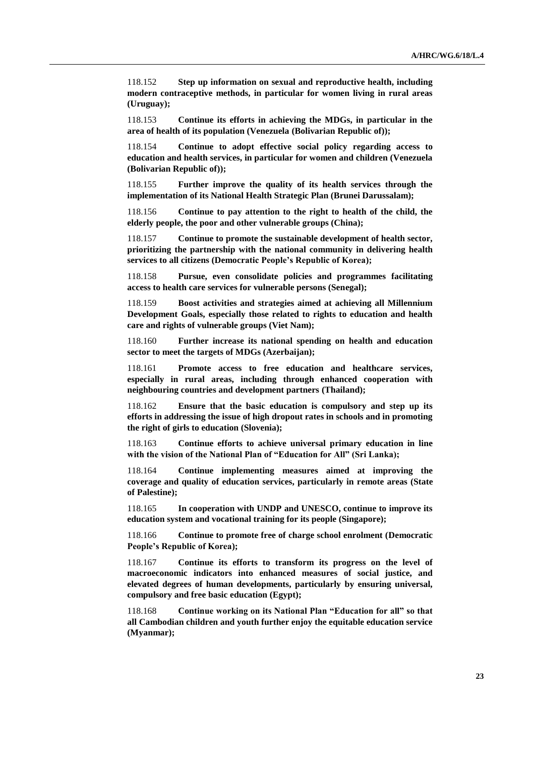118.152 **Step up information on sexual and reproductive health, including modern contraceptive methods, in particular for women living in rural areas (Uruguay);**

118.153 **Continue its efforts in achieving the MDGs, in particular in the area of health of its population (Venezuela (Bolivarian Republic of));**

118.154 **Continue to adopt effective social policy regarding access to education and health services, in particular for women and children (Venezuela (Bolivarian Republic of));**

118.155 **Further improve the quality of its health services through the implementation of its National Health Strategic Plan (Brunei Darussalam);**

118.156 **Continue to pay attention to the right to health of the child, the elderly people, the poor and other vulnerable groups (China);**

118.157 **Continue to promote the sustainable development of health sector, prioritizing the partnership with the national community in delivering health services to all citizens (Democratic People's Republic of Korea);**

118.158 **Pursue, even consolidate policies and programmes facilitating access to health care services for vulnerable persons (Senegal);**

118.159 **Boost activities and strategies aimed at achieving all Millennium Development Goals, especially those related to rights to education and health care and rights of vulnerable groups (Viet Nam);**

118.160 **Further increase its national spending on health and education sector to meet the targets of MDGs (Azerbaijan);**

118.161 **Promote access to free education and healthcare services, especially in rural areas, including through enhanced cooperation with neighbouring countries and development partners (Thailand);**

118.162 **Ensure that the basic education is compulsory and step up its efforts in addressing the issue of high dropout rates in schools and in promoting the right of girls to education (Slovenia);**

118.163 **Continue efforts to achieve universal primary education in line with the vision of the National Plan of "Education for All" (Sri Lanka);**

118.164 **Continue implementing measures aimed at improving the coverage and quality of education services, particularly in remote areas (State of Palestine);**

118.165 **In cooperation with UNDP and UNESCO, continue to improve its education system and vocational training for its people (Singapore);**

118.166 **Continue to promote free of charge school enrolment (Democratic People's Republic of Korea);**

118.167 **Continue its efforts to transform its progress on the level of macroeconomic indicators into enhanced measures of social justice, and elevated degrees of human developments, particularly by ensuring universal, compulsory and free basic education (Egypt);**

118.168 **Continue working on its National Plan "Education for all" so that all Cambodian children and youth further enjoy the equitable education service (Myanmar);**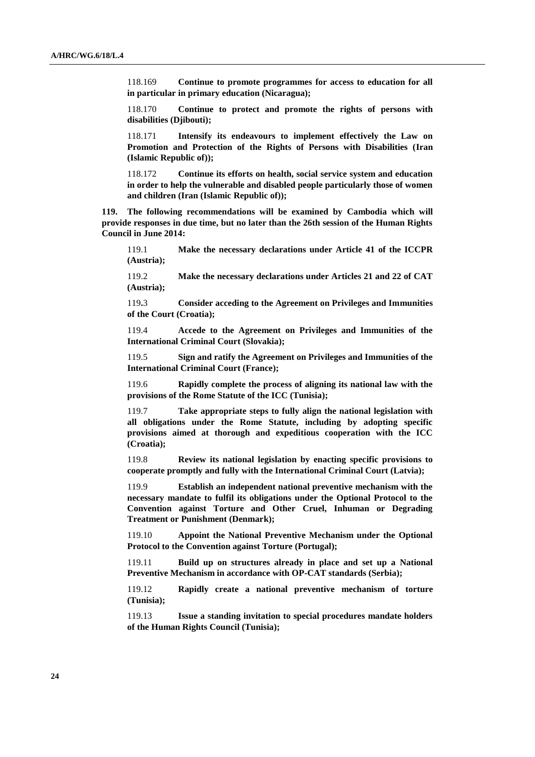118.169 **Continue to promote programmes for access to education for all in particular in primary education (Nicaragua);**

118.170 **Continue to protect and promote the rights of persons with disabilities (Djibouti);**

118.171 **Intensify its endeavours to implement effectively the Law on Promotion and Protection of the Rights of Persons with Disabilities (Iran (Islamic Republic of));**

118.172 **Continue its efforts on health, social service system and education in order to help the vulnerable and disabled people particularly those of women and children (Iran (Islamic Republic of));**

**119. The following recommendations will be examined by Cambodia which will provide responses in due time, but no later than the 26th session of the Human Rights Council in June 2014:**

119.1 **Make the necessary declarations under Article 41 of the ICCPR (Austria);**

119.2 **Make the necessary declarations under Articles 21 and 22 of CAT (Austria);** 

119**.**3 **Consider acceding to the Agreement on Privileges and Immunities of the Court (Croatia);**

119.4 **Accede to the Agreement on Privileges and Immunities of the International Criminal Court (Slovakia);**

119.5 **Sign and ratify the Agreement on Privileges and Immunities of the International Criminal Court (France);**

119.6 **Rapidly complete the process of aligning its national law with the provisions of the Rome Statute of the ICC (Tunisia);**

119.7 **Take appropriate steps to fully align the national legislation with all obligations under the Rome Statute, including by adopting specific provisions aimed at thorough and expeditious cooperation with the ICC (Croatia);**

119.8 **Review its national legislation by enacting specific provisions to cooperate promptly and fully with the International Criminal Court (Latvia);**

119.9 **Establish an independent national preventive mechanism with the necessary mandate to fulfil its obligations under the Optional Protocol to the Convention against Torture and Other Cruel, Inhuman or Degrading Treatment or Punishment (Denmark);**

119.10 **Appoint the National Preventive Mechanism under the Optional Protocol to the Convention against Torture (Portugal);**

119.11 **Build up on structures already in place and set up a National Preventive Mechanism in accordance with OP-CAT standards (Serbia);**

119.12 **Rapidly create a national preventive mechanism of torture (Tunisia);**

119.13 **Issue a standing invitation to special procedures mandate holders of the Human Rights Council (Tunisia);**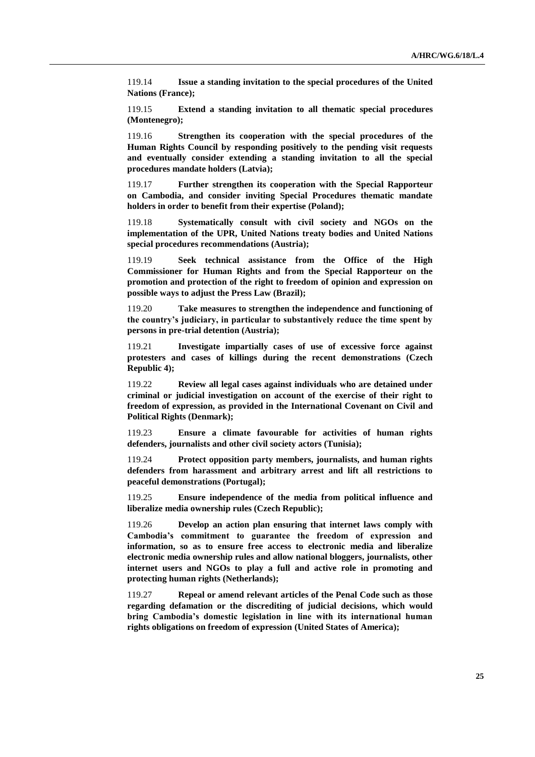119.14 **Issue a standing invitation to the special procedures of the United Nations (France);**

119.15 **Extend a standing invitation to all thematic special procedures (Montenegro);**

119.16 **Strengthen its cooperation with the special procedures of the Human Rights Council by responding positively to the pending visit requests and eventually consider extending a standing invitation to all the special procedures mandate holders (Latvia);**

119.17 **Further strengthen its cooperation with the Special Rapporteur on Cambodia, and consider inviting Special Procedures thematic mandate holders in order to benefit from their expertise (Poland);**

119.18 **Systematically consult with civil society and NGOs on the implementation of the UPR, United Nations treaty bodies and United Nations special procedures recommendations (Austria);**

119.19 **Seek technical assistance from the Office of the High Commissioner for Human Rights and from the Special Rapporteur on the promotion and protection of the right to freedom of opinion and expression on possible ways to adjust the Press Law (Brazil);** 

119.20 **Take measures to strengthen the independence and functioning of the country's judiciary, in particular to substantively reduce the time spent by persons in pre-trial detention (Austria);**

119.21 **Investigate impartially cases of use of excessive force against protesters and cases of killings during the recent demonstrations (Czech Republic 4);**

119.22 **Review all legal cases against individuals who are detained under criminal or judicial investigation on account of the exercise of their right to freedom of expression, as provided in the International Covenant on Civil and Political Rights (Denmark);**

119.23 **Ensure a climate favourable for activities of human rights defenders, journalists and other civil society actors (Tunisia);**

119.24 **Protect opposition party members, journalists, and human rights defenders from harassment and arbitrary arrest and lift all restrictions to peaceful demonstrations (Portugal);**

119.25 **Ensure independence of the media from political influence and liberalize media ownership rules (Czech Republic);**

119.26 **Develop an action plan ensuring that internet laws comply with Cambodia's commitment to guarantee the freedom of expression and information, so as to ensure free access to electronic media and liberalize electronic media ownership rules and allow national bloggers, journalists, other internet users and NGOs to play a full and active role in promoting and protecting human rights (Netherlands);**

119.27 **Repeal or amend relevant articles of the Penal Code such as those regarding defamation or the discrediting of judicial decisions, which would bring Cambodia's domestic legislation in line with its international human rights obligations on freedom of expression (United States of America);**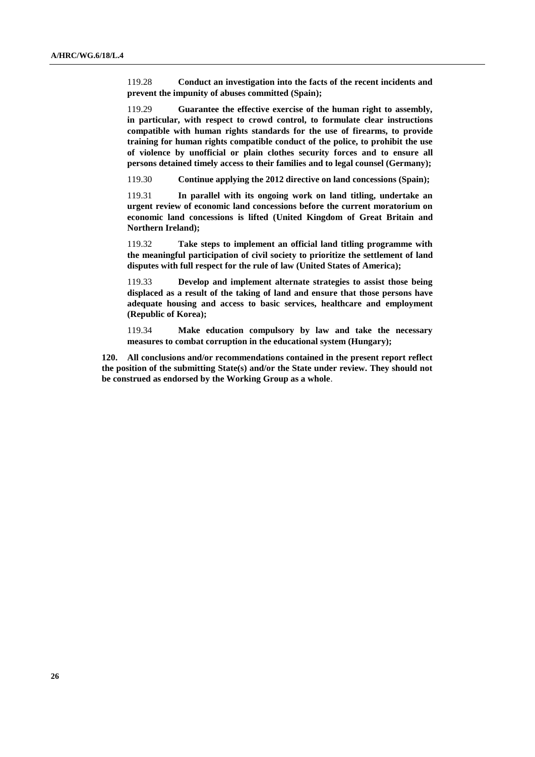119.28 **Conduct an investigation into the facts of the recent incidents and prevent the impunity of abuses committed (Spain);**

119.29 **Guarantee the effective exercise of the human right to assembly, in particular, with respect to crowd control, to formulate clear instructions compatible with human rights standards for the use of firearms, to provide training for human rights compatible conduct of the police, to prohibit the use of violence by unofficial or plain clothes security forces and to ensure all persons detained timely access to their families and to legal counsel (Germany);**

119.30 **Continue applying the 2012 directive on land concessions (Spain);**

119.31 **In parallel with its ongoing work on land titling, undertake an urgent review of economic land concessions before the current moratorium on economic land concessions is lifted (United Kingdom of Great Britain and Northern Ireland);**

119.32 **Take steps to implement an official land titling programme with the meaningful participation of civil society to prioritize the settlement of land disputes with full respect for the rule of law (United States of America);**

119.33 **Develop and implement alternate strategies to assist those being displaced as a result of the taking of land and ensure that those persons have adequate housing and access to basic services, healthcare and employment (Republic of Korea);**

119.34 **Make education compulsory by law and take the necessary measures to combat corruption in the educational system (Hungary);**

**120. All conclusions and/or recommendations contained in the present report reflect the position of the submitting State(s) and/or the State under review. They should not be construed as endorsed by the Working Group as a whole**.